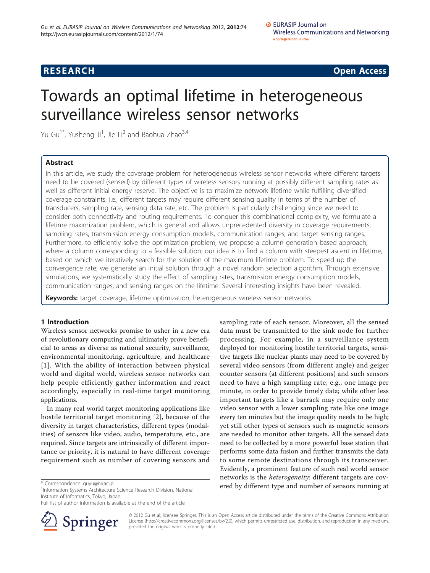**RESEARCH CONSTRUCTION CONSTRUCTS** 

# Towards an optimal lifetime in heterogeneous surveillance wireless sensor networks

Yu Gu<sup>1\*</sup>, Yusheng Ji<sup>1</sup>, Jie Li<sup>2</sup> and Baohua Zhao<sup>3,4</sup>

# Abstract

In this article, we study the coverage problem for heterogeneous wireless sensor networks where different targets need to be covered (sensed) by different types of wireless sensors running at possibly different sampling rates as well as different initial energy reserve. The objective is to maximize network lifetime while fulfilling diversified coverage constraints, i.e., different targets may require different sensing quality in terms of the number of transducers, sampling rate, sensing data rate, etc. The problem is particularly challenging since we need to consider both connectivity and routing requirements. To conquer this combinational complexity, we formulate a lifetime maximization problem, which is general and allows unprecedented diversity in coverage requirements, sampling rates, transmission energy consumption models, communication ranges, and target sensing ranges. Furthermore, to efficiently solve the optimization problem, we propose a column generation based approach, where a column corresponding to a feasible solution; our idea is to find a column with steepest ascent in lifetime, based on which we iteratively search for the solution of the maximum lifetime problem. To speed up the convergence rate, we generate an initial solution through a novel random selection algorithm. Through extensive simulations, we systematically study the effect of sampling rates, transmission energy consumption models, communication ranges, and sensing ranges on the lifetime. Several interesting insights have been revealed.

Keywords: target coverage, lifetime optimization, heterogeneous wireless sensor networks

# 1 Introduction

Wireless sensor networks promise to usher in a new era of revolutionary computing and ultimately prove beneficial to areas as diverse as national security, surveillance, environmental monitoring, agriculture, and healthcare [[1\]](#page-16-0). With the ability of interaction between physical world and digital world, wireless sensor networks can help people efficiently gather information and react accordingly, especially in real-time target monitoring applications.

In many real world target monitoring applications like hostile territorial target monitoring [\[2\]](#page-16-0), because of the diversity in target characteristics, different types (modalities) of sensors like video, audio, temperature, etc., are required. Since targets are intrinsically of different importance or priority, it is natural to have different coverage requirement such as number of covering sensors and

Full list of author information is available at the end of the article



sampling rate of each sensor. Moreover, all the sensed data must be transmitted to the sink node for further processing. For example, in a surveillance system deployed for monitoring hostile territorial targets, sensitive targets like nuclear plants may need to be covered by several video sensors (from different angle) and geiger counter sensors (at different positions) and such sensors need to have a high sampling rate, e.g., one image per minute, in order to provide timely data; while other less important targets like a barrack may require only one video sensor with a lower sampling rate like one image every ten minutes but the image quality needs to be high; yet still other types of sensors such as magnetic sensors are needed to monitor other targets. All the sensed data need to be collected by a more powerful base station that performs some data fusion and further transmits the data to some remote destinations through its transceiver. Evidently, a prominent feature of such real world sensor networks is the *heterogeneity*: different targets are cov\* Correspondence: [guyu@nii.ac.jp](mailto:guyu@nii.ac.jp)<br>
luferent type and number of sensors running at

> © 2012 Gu et al; licensee Springer. This is an Open Access article distributed under the terms of the Creative Commons Attribution License [\(http://creativecommons.org/licenses/by/2.0](http://creativecommons.org/licenses/by/2.0)), which permits unrestricted use, distribution, and reproduction in any medium, provided the original work is properly cited.

<sup>1</sup> Information Systems Architecture Science Research Division, National Institute of Informatics, Tokyo, Japan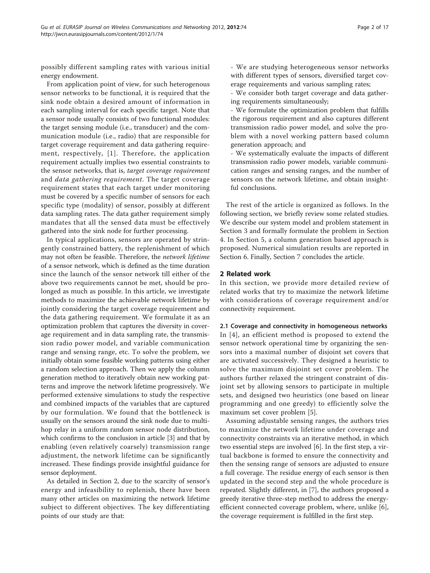possibly different sampling rates with various initial energy endowment.

From application point of view, for such heterogenous sensor networks to be functional, it is required that the sink node obtain a desired amount of information in each sampling interval for each specific target. Note that a sensor node usually consists of two functional modules: the target sensing module (i.e., transducer) and the communication module (i.e., radio) that are responsible for target coverage requirement and data gathering requirement, respectively, [[1](#page-16-0)]. Therefore, the application requirement actually implies two essential constraints to the sensor networks, that is, target coverage requirement and data gathering requirement. The target coverage requirement states that each target under monitoring must be covered by a specific number of sensors for each specific type (modality) of sensor, possibly at different data sampling rates. The data gather requirement simply mandates that all the sensed data must be effectively gathered into the sink node for further processing.

In typical applications, sensors are operated by stringently constrained battery, the replenishment of which may not often be feasible. Therefore, the *network lifetime* of a sensor network, which is defined as the time duration since the launch of the sensor network till either of the above two requirements cannot be met, should be prolonged as much as possible. In this article, we investigate methods to maximize the achievable network lifetime by jointly considering the target coverage requirement and the data gathering requirement. We formulate it as an optimization problem that captures the diversity in coverage requirement and in data sampling rate, the transmission radio power model, and variable communication range and sensing range, etc. To solve the problem, we initially obtain some feasible working patterns using either a random selection approach. Then we apply the column generation method to iteratively obtain new working patterns and improve the network lifetime progressively. We performed extensive simulations to study the respective and combined impacts of the variables that are captured by our formulation. We found that the bottleneck is usually on the sensors around the sink node due to multihop relay in a uniform random sensor node distribution, which confirms to the conclusion in article [\[3](#page-16-0)] and that by enabling (even relatively coarsely) transmission range adjustment, the network lifetime can be significantly increased. These findings provide insightful guidance for sensor deployment.

As detailed in Section 2, due to the scarcity of sensor's energy and infeasibility to replenish, there have been many other articles on maximizing the network lifetime subject to different objectives. The key differentiating points of our study are that:

- We are studying heterogeneous sensor networks with different types of sensors, diversified target coverage requirements and various sampling rates;

- We consider both target coverage and data gathering requirements simultaneously;

- We formulate the optimization problem that fulfills the rigorous requirement and also captures different transmission radio power model, and solve the problem with a novel working pattern based column generation approach; and

- We systematically evaluate the impacts of different transmission radio power models, variable communication ranges and sensing ranges, and the number of sensors on the network lifetime, and obtain insightful conclusions.

The rest of the article is organized as follows. In the following section, we briefly review some related studies. We describe our system model and problem statement in Section 3 and formally formulate the problem in Section 4. In Section 5, a column generation based approach is proposed. Numerical simulation results are reported in Section 6. Finally, Section 7 concludes the article.

#### 2 Related work

In this section, we provide more detailed review of related works that try to maximize the network lifetime with considerations of coverage requirement and/or connectivity requirement.

2.1 Coverage and connectivity in homogeneous networks In [[4](#page-16-0)], an efficient method is proposed to extend the sensor network operational time by organizing the sensors into a maximal number of disjoint set covers that are activated successively. They designed a heuristic to solve the maximum disjoint set cover problem. The authors further relaxed the stringent constraint of disjoint set by allowing sensors to participate in multiple sets, and designed two heuristics (one based on linear programming and one greedy) to efficiently solve the maximum set cover problem [[5](#page-16-0)].

Assuming adjustable sensing ranges, the authors tries to maximize the network lifetime under coverage and connectivity constraints via an iterative method, in which two essential steps are involved [\[6](#page-16-0)]. In the first step, a virtual backbone is formed to ensure the connectivity and then the sensing range of sensors are adjusted to ensure a full coverage. The residue energy of each sensor is then updated in the second step and the whole procedure is repeated. Slightly different, in [\[7](#page-16-0)], the authors proposed a greedy iterative three-step method to address the energyefficient connected coverage problem, where, unlike [\[6](#page-16-0)], the coverage requirement is fulfilled in the first step.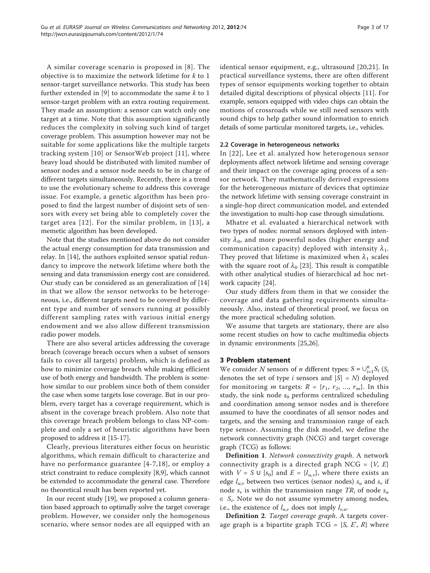A similar coverage scenario is proposed in [[8](#page-16-0)]. The objective is to maximize the network lifetime for  $k$  to 1 sensor-target surveillance networks. This study has been further extended in [[9\]](#page-16-0) to accommodate the same  $k$  to 1 sensor-target problem with an extra routing requirement. They made an assumption: a sensor can watch only one target at a time. Note that this assumption significantly reduces the complexity in solving such kind of target coverage problem. This assumption however may not be suitable for some applications like the multiple targets tracking system [[10\]](#page-16-0) or SensorWeb project [[11](#page-16-0)], where heavy load should be distributed with limited number of sensor nodes and a sensor node needs to be in charge of different targets simultaneously. Recently, there is a trend to use the evolutionary scheme to address this coverage issue. For example, a genetic algorithm has been proposed to find the largest number of disjoint sets of sensors with every set being able to completely cover the target area [[12\]](#page-16-0). For the similar problem, in [\[13](#page-16-0)], a memetic algorithm has been developed.

Note that the studies mentioned above do not consider the actual energy consumption for data transmission and relay. In [\[14\]](#page-16-0), the authors exploited sensor spatial redundancy to improve the network lifetime where both the sensing and data transmission energy cost are considered. Our study can be considered as an generalization of [\[14](#page-16-0)] in that we allow the sensor networks to be heterogeneous, i.e., different targets need to be covered by different type and number of sensors running at possibly different sampling rates with various initial energy endowment and we also allow different transmission radio power models.

There are also several articles addressing the coverage breach (coverage breach occurs when a subset of sensors fails to cover all targets) problem, which is defined as how to minimize coverage breach while making efficient use of both energy and bandwidth. The problem is somehow similar to our problem since both of them consider the case when some targets lose coverage. But in our problem, every target has a coverage requirement, which is absent in the coverage breach problem. Also note that this coverage breach problem belongs to class NP-complete and only a set of heuristic algorithms have been proposed to address it [[15](#page-16-0)-[17\]](#page-16-0).

Clearly, previous literatures either focus on heuristic algorithms, which remain difficult to characterize and have no performance guarantee [[4](#page-16-0)-[7,18](#page-16-0)], or employ a strict constraint to reduce complexity [[8](#page-16-0),[9\]](#page-16-0), which cannot be extended to accommodate the general case. Therefore no theoretical result has been reported yet.

In our recent study [\[19\]](#page-16-0), we proposed a column generation based approach to optimally solve the target coverage problem. However, we consider only the homogenous scenario, where sensor nodes are all equipped with an identical sensor equipment, e.g., ultrasound [[20](#page-16-0),[21\]](#page-16-0). In practical surveillance systems, there are often different types of sensor equipments working together to obtain detailed digital descriptions of physical objects [[11\]](#page-16-0). For example, sensors equipped with video chips can obtain the motions of crossroads while we still need sensors with sound chips to help gather sound information to enrich details of some particular monitored targets, i.e., vehicles.

#### 2.2 Coverage in heterogeneous networks

In [[22\]](#page-16-0), Lee et al. analyzed how heterogenous sensor deployments affect network lifetime and sensing coverage and their impact on the coverage aging process of a sensor network. They mathematically derived expressions for the heterogeneous mixture of devices that optimize the network lifetime with sensing coverage constraint in a single-hop direct communication model, and extended the investigation to multi-hop case through simulations.

Mhatre et al. evaluated a hierarchical network with two types of nodes: normal sensors deployed with intensity  $\lambda_0$ , and more powerful nodes (higher energy and communication capacity) deployed with intensity  $\lambda_1$ . They proved that lifetime is maximized when  $\lambda_1$  scales with the square root of  $\lambda_0$  [[23](#page-16-0)]. This result is compatible with other analytical studies of hierarchical ad hoc network capacity [[24](#page-16-0)].

Our study differs from them in that we consider the coverage and data gathering requirements simultaneously. Also, instead of theoretical proof, we focus on the more practical scheduling solution.

We assume that targets are stationary, there are also some recent studies on how to cache multimedia objects in dynamic environments [[25](#page-16-0),[26](#page-16-0)].

### 3 Problem statement

We consider *N* sensors of *n* different types:  $S = \bigcup_{i=1}^{n} S_i$  ( $S_i$ denotes the set of type *i* sensors and  $|S| = N$ ) deployed for monitoring *m* targets:  $R = \{r_1, r_2, ..., r_m\}$ . In this study, the sink node  $s_0$  performs centralized scheduling and coordination among sensor nodes and is therefore assumed to have the coordinates of all sensor nodes and targets, and the sensing and transmission range of each type sensor. Assuming the disk model, we define the network connectivity graph (NCG) and target coverage graph (TCG) as follows:

Definition 1. Network connectivity graph. A network connectivity graph is a directed graph NCG =  $\{V, E\}$ with  $V = S \cup \{s_0\}$  and  $E = \{l_{u,v}\}\$ , where there exists an edge  $l_{u,v}$  between two vertices (sensor nodes)  $s_u$  and  $s_v$  if node  $s_v$  is within the transmission range TR<sub>i</sub> of node  $s_u$  $\in S_i$ . Note we do not assume symmetry among nodes, i.e., the existence of  $l_{u,v}$  does not imply  $l_{v,u}$ .

Definition 2. Target coverage graph. A targets coverage graph is a bipartite graph TCG =  $\{S, E', R\}$  where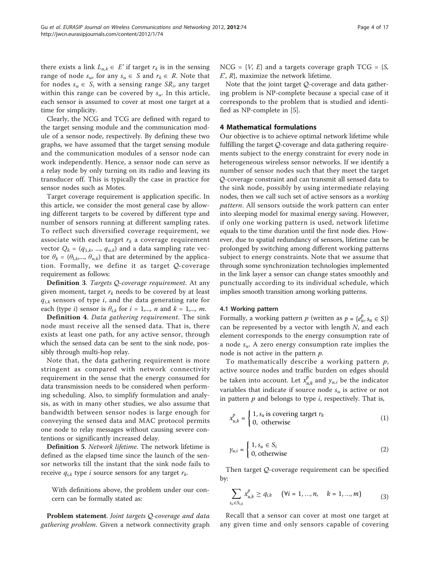there exists a link  $L_{u,k} \in E'$  if target  $r_k$  is in the sensing range of node  $s_{\mu}$ , for any  $s_{\mu} \in S$  and  $r_k \in R$ . Note that for nodes  $s_u \in S_i$  with a sensing range  $SR_i$ , any target within this range can be covered by  $s_u$ . In this article, each sensor is assumed to cover at most one target at a time for simplicity.

Clearly, the NCG and TCG are defined with regard to the target sensing module and the communication module of a sensor node, respectively. By defining these two graphs, we have assumed that the target sensing module and the communication modules of a sensor node can work independently. Hence, a sensor node can serve as a relay node by only turning on its radio and leaving its transducer off. This is typically the case in practice for sensor nodes such as Motes.

Target coverage requirement is application specific. In this article, we consider the most general case by allowing different targets to be covered by different type and number of sensors running at different sampling rates. To reflect such diversified coverage requirement, we associate with each target  $r_k$  a coverage requirement vector  $Q_k = (q_{1,k}, ..., q_{n,k})$  and a data sampling rate vector  $\theta_k = (\theta_{1,k}, \theta_{n,k})$  that are determined by the application. Formally, we define it as target *Q*-coverage requirement as follows:

Definition 3. Targets *Q*-coverage requirement. At any given moment, target  $r_k$  needs to be covered by at least  $q_{i,k}$  sensors of type i, and the data generating rate for each (type *i*) sensor is  $\theta_{i,k}$  for  $i = 1,..., n$  and  $k = 1,..., m$ .

Definition 4. Data gathering requirement. The sink node must receive all the sensed data. That is, there exists at least one path, for any active sensor, through which the sensed data can be sent to the sink node, possibly through multi-hop relay.

Note that, the data gathering requirement is more stringent as compared with network connectivity requirement in the sense that the energy consumed for data transmission needs to be considered when performing scheduling. Also, to simplify formulation and analysis, as with in many other studies, we also assume that bandwidth between sensor nodes is large enough for conveying the sensed data and MAC protocol permits one node to relay messages without causing severe contentions or significantly increased delay.

Definition 5. Network lifetime. The network lifetime is defined as the elapsed time since the launch of the sensor networks till the instant that the sink node fails to receive  $q_{i,k}$  type i source sensors for any target  $r_k$ .

With definitions above, the problem under our concern can be formally stated as:

Problem statement. Joint targets *Q*-coverage and data gathering problem. Given a network connectivity graph NCG =  $\{V, E\}$  and a targets coverage graph TCG =  $\{S, E\}$  $E'$ ,  $R$ }, maximize the network lifetime.

Note that the joint target *Q*-coverage and data gathering problem is NP-complete because a special case of it corresponds to the problem that is studied and identified as NP-complete in [[5](#page-16-0)].

#### 4 Mathematical formulations

Our objective is to achieve optimal network lifetime while fulfilling the target *Q*-coverage and data gathering requirements subject to the energy constraint for every node in heterogeneous wireless sensor networks. If we identify a number of sensor nodes such that they meet the target *Q*-coverage constraint and can transmit all sensed data to the sink node, possibly by using intermediate relaying nodes, then we call such set of active sensors as a working pattern. All sensors outside the work pattern can enter into sleeping model for maximal energy saving. However, if only one working pattern is used, network lifetime equals to the time duration until the first node dies. However, due to spatial redundancy of sensors, lifetime can be prolonged by switching among different working patterns subject to energy constraints. Note that we assume that through some synchronization technologies implemented in the link layer a sensor can change states smoothly and punctually according to its individual schedule, which implies smooth transition among working patterns.

#### 4.1 Working pattern

Formally, a working pattern *p* (written as  $p = \{e_u^p, s_u \in S\}$ ) can be represented by a vector with length  $N$ , and each element corresponds to the energy consumption rate of a node  $s_u$ . A zero energy consumption rate implies the node is not active in the pattern  $p$ .

To mathematically describe a working pattern  $p$ , active source nodes and traffic burden on edges should be taken into account. Let  $x_{u,k}^p$  and  $y_{u,i}$  be the indicator variables that indicate if source node  $s_u$  is active or not in pattern  $p$  and belongs to type  $i$ , respectively. That is,

$$
x_{u,k}^p = \begin{cases} 1, s_u \text{ is covering target } r_k \\ 0, \text{ otherwise} \end{cases}
$$
 (1)

$$
\gamma_{u,i} = \begin{cases} 1, s_u \in S_i \\ 0, \text{otherwise} \end{cases}
$$
 (2)

Then target *Q*-coverage requirement can be specified by:

$$
\sum_{s_u \in S_{i,k}} x_{u,k}^p \ge q_{i,k} \quad (\forall i = 1, ..., n, \quad k = 1, ..., m)
$$
 (3)

Recall that a sensor can cover at most one target at any given time and only sensors capable of covering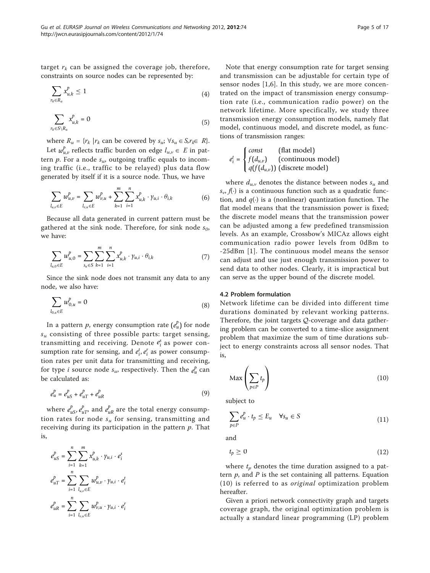target  $r_k$  can be assigned the coverage job, therefore, constraints on source nodes can be represented by:

$$
\sum_{r_k \in R_u} x_{u,k}^p \le 1 \tag{4}
$$

$$
\sum_{r_k \in S \backslash R_u} x_{u,k}^p = 0 \tag{5}
$$

where  $R_u = \{r_k \mid r_k \text{ can be covered by } s_u; \forall s_u \in S, r_k \in R\}.$ Let  $w_{u,v}^p$  reflects traffic burden on edge  $l_{u,v} \in E$  in pattern  $p$ . For a node  $s_u$ , outgoing traffic equals to incoming traffic (i.e., traffic to be relayed) plus data flow generated by itself if it is a source node. Thus, we have

$$
\sum_{l_{u,v}\in E} u_{u,v}^p = \sum_{l_{v,u}\in E} w_{v,u}^p + \sum_{k=1}^m \sum_{i=1}^n x_{u,k}^p \cdot \gamma_{u,i} \cdot \theta_{i,k} \tag{6}
$$

Because all data generated in current pattern must be gathered at the sink node. Therefore, for sink node  $s_0$ , we have:

$$
\sum_{l_{u,0}\in E} w_{u,0}^p = \sum_{s_u \in S} \sum_{k=1}^m \sum_{i=1}^n x_{u,k}^p \cdot \gamma_{u,i} \cdot \theta_{i,k}
$$
 (7)

Since the sink node does not transmit any data to any node, we also have:

$$
\sum_{l_{0,u}\in E} w_{0,u}^p = 0
$$
 (8)

In a pattern  $p$ , energy consumption rate  $(e^p_u)$  for node  $s_u$  consisting of three possible parts: target sensing, transmitting and receiving. Denote  $e_i^s$  as power consumption rate for sensing, and  $e_i^t$ ,  $e_i^r$  as power consumption rates per unit data for transmitting and receiving, for type *i* source node  $s_u$ , respectively. Then the  $e_u^p$  can be calculated as:

$$
e_u^p = e_{uS}^p + e_{uT}^p + e_{uR}^p \tag{9}
$$

where  $e_{uS}^p$ ,  $e_{uT}^p$ , and  $e_{uR}^p$  are the total energy consumption rates for node  $s<sub>u</sub>$  for sensing, transmitting and receiving during its participation in the pattern  $p$ . That is,

$$
e_{uS}^{p} = \sum_{i=1}^{n} \sum_{k=1}^{m} x_{u,k}^{p} \cdot \gamma_{u,i} \cdot e_{i}^{s}
$$

$$
e_{uT}^{p} = \sum_{i=1}^{n} \sum_{l_{u,v} \in E} w_{u,v}^{p} \cdot \gamma_{u,i} \cdot e_{i}^{t}
$$

$$
e_{uR}^{p} = \sum_{i=1}^{n} \sum_{l_{v,u} \in E} w_{v,u}^{p} \cdot \gamma_{u,i} \cdot e_{i}^{r}
$$

Note that energy consumption rate for target sensing and transmission can be adjustable for certain type of sensor nodes [[1,6](#page-16-0)]. In this study, we are more concentrated on the impact of transmission energy consumption rate (i.e., communication radio power) on the network lifetime. More specifically, we study three transmission energy consumption models, namely flat model, continuous model, and discrete model, as functions of transmission ranges:

$$
e_i^t = \begin{cases} const & \text{(flat model)}\\ f(d_{u,v}) & \text{(continuous model)}\\ q(f(d_{u,v})) & \text{(discrete model)} \end{cases}
$$

where  $d_{u,v}$  denotes the distance between nodes  $s_u$  and  $s_{\nu}$ ,  $f(\cdot)$  is a continuous function such as a quadratic function, and  $q(.)$  is a (nonlinear) quantization function. The flat model means that the transmission power is fixed; the discrete model means that the transmission power can be adjusted among a few predefined transmission levels. As an example, Crossbow's MICAz allows eight communication radio power levels from 0dBm to -25dBm [[1\]](#page-16-0). The continuous model means the sensor can adjust and use just enough transmission power to send data to other nodes. Clearly, it is impractical but can serve as the upper bound of the discrete model.

#### 4.2 Problem formulation

Network lifetime can be divided into different time durations dominated by relevant working patterns. Therefore, the joint targets *Q*-coverage and data gathering problem can be converted to a time-slice assignment problem that maximize the sum of time durations subject to energy constraints across all sensor nodes. That is,

$$
\text{Max}\left(\sum_{p \in P} t_p\right) \tag{10}
$$

subject to

$$
\sum_{p \in P} e_u^p \cdot t_p \le E_u \quad \forall s_u \in S \tag{11}
$$

and

$$
t_p \ge 0 \tag{12}
$$

where  $t_p$  denotes the time duration assigned to a pattern  $p$ , and  $P$  is the set containing all patterns. Equation (10) is referred to as original optimization problem hereafter.

Given a priori network connectivity graph and targets coverage graph, the original optimization problem is actually a standard linear programming (LP) problem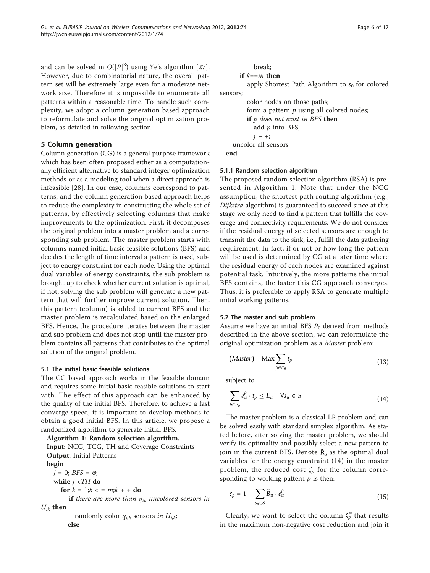and can be solved in  $O(|P|^3)$  using Ye's algorithm [[27](#page-16-0)]. However, due to combinatorial nature, the overall pattern set will be extremely large even for a moderate network size. Therefore it is impossible to enumerate all patterns within a reasonable time. To handle such complexity, we adopt a column generation based approach to reformulate and solve the original optimization problem, as detailed in following section.

# 5 Column generation

Column generation (CG) is a general purpose framework which has been often proposed either as a computationally efficient alternative to standard integer optimization methods or as a modeling tool when a direct approach is infeasible [\[28\]](#page-16-0). In our case, columns correspond to patterns, and the column generation based approach helps to reduce the complexity in constructing the whole set of patterns, by effectively selecting columns that make improvements to the optimization. First, it decomposes the original problem into a master problem and a corresponding sub problem. The master problem starts with columns named initial basic feasible solutions (BFS) and decides the length of time interval a pattern is used, subject to energy constraint for each node. Using the optimal dual variables of energy constraints, the sub problem is brought up to check whether current solution is optimal, if not, solving the sub problem will generate a new pattern that will further improve current solution. Then, this pattern (column) is added to current BFS and the master problem is recalculated based on the enlarged BFS. Hence, the procedure iterates between the master and sub problem and does not stop until the master problem contains all patterns that contributes to the optimal solution of the original problem.

#### 5.1 The initial basic feasible solutions

else

The CG based approach works in the feasible domain and requires some initial basic feasible solutions to start with. The effect of this approach can be enhanced by the quality of the initial BFS. Therefore, to achieve a fast converge speed, it is important to develop methods to obtain a good initial BFS. In this article, we propose a randomized algorithm to generate initial BFS.

Algorithm 1: Random selection algorithm. Input: NCG, TCG, TH and Coverage Constraints Output: Initial Patterns

begin  $j = 0$ ; BFS =  $\varphi$ ; while  $j < TH$  do for  $k = 1; k < n$ ;  $k + 1$  do if there are more than  $q_{ik}$  uncolored sensors in  $U_{ik}$  then randomly color  $q_{i,k}$  sensors in  $U_{i,k}$ ;

break;

```
if k == m then
```
apply Shortest Path Algorithm to  $s_0$  for colored sensors;

color nodes on those paths; form a pattern  $p$  using all colored nodes; if  $p$  does not exist in BFS then add p into BFS;  $j + +;$ uncolor all sensors

end

# 5.1.1 Random selection algorithm

The proposed random selection algorithm (RSA) is presented in Algorithm 1. Note that under the NCG assumption, the shortest path routing algorithm (e.g., Dijkstra algorithm) is guaranteed to succeed since at this stage we only need to find a pattern that fulfills the coverage and connectivity requirements. We do not consider if the residual energy of selected sensors are enough to transmit the data to the sink, i.e., fulfill the data gathering requirement. In fact, if or not or how long the pattern will be used is determined by CG at a later time where the residual energy of each nodes are examined against potential task. Intuitively, the more patterns the initial BFS contains, the faster this CG approach converges. Thus, it is preferable to apply RSA to generate multiple initial working patterns.

# 5.2 The master and sub problem

Assume we have an initial BFS  $P_0$  derived from methods described in the above section, we can reformulate the original optimization problem as a Master problem:

(Master) Max 
$$
\sum_{p \in P_0} t_p
$$
 (13)

subject to

$$
\sum_{p \in P_0} e_u^p \cdot t_p \le E_u \quad \forall s_u \in S \tag{14}
$$

The master problem is a classical LP problem and can be solved easily with standard simplex algorithm. As stated before, after solving the master problem, we should verify its optimality and possibly select a new pattern to join in the current BFS. Denote  $\tilde{B}_u$  as the optimal dual variables for the energy constraint (14) in the master problem, the reduced cost  $\zeta_p$  for the column corresponding to working pattern  $p$  is then:

$$
\zeta_p = 1 - \sum_{s_u \in S} \tilde{B}_u \cdot e_u^p \tag{15}
$$

Clearly, we want to select the column  $\zeta_p^*$  that results in the maximum non-negative cost reduction and join it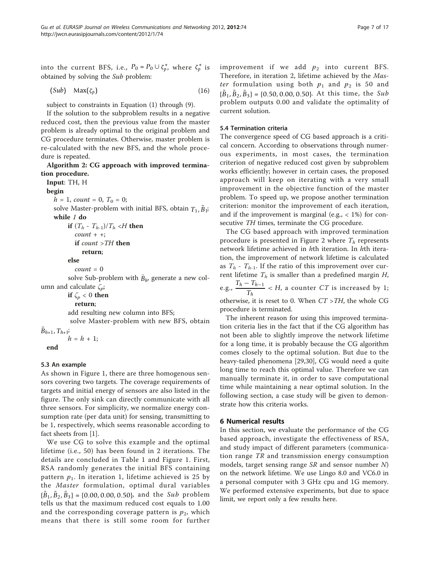into the current BFS, i.e.,  $P_0 = P_0 \cup \zeta_p^*$ , where  $\zeta_p^*$  is obtained by solving the Sub problem:

$$
(Sub) \quad Max(\zeta_p) \tag{16}
$$

subject to constraints in Equation (1) through (9).

If the solution to the subproblem results in a negative reduced cost, then the previous value from the master problem is already optimal to the original problem and CG procedure terminates. Otherwise, master problem is re-calculated with the new BFS, and the whole procedure is repeated.

Algorithm 2: CG approach with improved termination procedure.

Input: TH, H

begin

 $h = 1$ , count = 0,  $T_0 = 0$ ;

solve Master-problem with initial BFS, obtain  $T_1$ ,  $\tilde{B}_1$ ; while 1 do

if 
$$
(T_h - T_{h-1})/T_h \lt H
$$
 then  
count + +;  
if count >TH then  
return;

else

 $count = 0$ 

solve Sub-problem with  $\tilde{B}_h$ , generate a new column and calculate  $\zeta_{pi}$ ;

if  $\zeta_p < 0$  then

return;

 $h = h + 1$ ;

add resulting new column into BFS;

solve Master-problem with new BFS, obtain

 $B_{h+1}$ ,  $T_{h+1}$ ;

end

# 5.3 An example

As shown in Figure [1](#page-7-0), there are three homogenous sensors covering two targets. The coverage requirements of targets and initial energy of sensors are also listed in the figure. The only sink can directly communicate with all three sensors. For simplicity, we normalize energy consumption rate (per data unit) for sensing, transmitting to be 1, respectively, which seems reasonable according to fact sheets from [\[1](#page-16-0)].

We use CG to solve this example and the optimal lifetime (i.e., 50) has been found in 2 iterations. The details are concluded in Table [1](#page-7-0) and Figure [1](#page-7-0). First, RSA randomly generates the initial BFS containing pattern  $p_1$ . In iteration 1, lifetime achieved is 25 by the Master formulation, optimal dural variables  ${\bar{B}_1, \bar{B}_2, \bar{B}_3} = {0.00, 0.00, 0.50}$ , and the *Sub* problem tells us that the maximum reduced cost equals to 1.00 and the corresponding coverage pattern is  $p_2$ , which means that there is still some room for further improvement if we add  $p_2$  into current BFS. Therefore, in iteration 2, lifetime achieved by the Master formulation using both  $p_1$  and  $p_2$  is 50 and  ${\{\tilde{B}_1, \tilde{B}_2, \tilde{B}_3\}} = \{0.50, 0.00, 0.50\}$ . At this time, the Sub problem outputs 0.00 and validate the optimality of current solution.

# 5.4 Termination criteria

The convergence speed of CG based approach is a critical concern. According to observations through numerous experiments, in most cases, the termination criterion of negative reduced cost given by subproblem works efficiently; however in certain cases, the proposed approach will keep on iterating with a very small improvement in the objective function of the master problem. To speed up, we propose another termination criterion: monitor the improvement of each iteration, and if the improvement is marginal (e.g.,  $<$  1%) for consecutive TH times, terminate the CG procedure.

The CG based approach with improved termination procedure is presented in Figure [2](#page-8-0) where  $T<sub>h</sub>$  represents network lifetime achieved in hth iteration. In hth iteration, the improvement of network lifetime is calculated as  $T_h$  -  $T_{h-1}$ . If the ratio of this improvement over current lifetime  $T_h$  is smaller than a predefined margin  $H$ , e.g.,  $\frac{T_h - T_{h-1}}{T}$  $\frac{m-1}{T_h}$  < *H*, a counter *CT* is increased by 1; otherwise, it is reset to 0. When CT >TH, the whole CG procedure is terminated.

The inherent reason for using this improved termination criteria lies in the fact that if the CG algorithm has not been able to slightly improve the network lifetime for a long time, it is probably because the CG algorithm comes closely to the optimal solution. But due to the heavy-tailed phenomena [\[29,30](#page-16-0)], CG would need a quite long time to reach this optimal value. Therefore we can manually terminate it, in order to save computational time while maintaining a near optimal solution. In the following section, a case study will be given to demonstrate how this criteria works.

# 6 Numerical results

In this section, we evaluate the performance of the CG based approach, investigate the effectiveness of RSA, and study impact of different parameters (communication range TR and transmission energy consumption models, target sensing range  $SR$  and sensor number  $N$ ) on the network lifetime. We use Lingo 8.0 and VC6.0 in a personal computer with 3 GHz cpu and 1G memory. We performed extensive experiments, but due to space limit, we report only a few results here.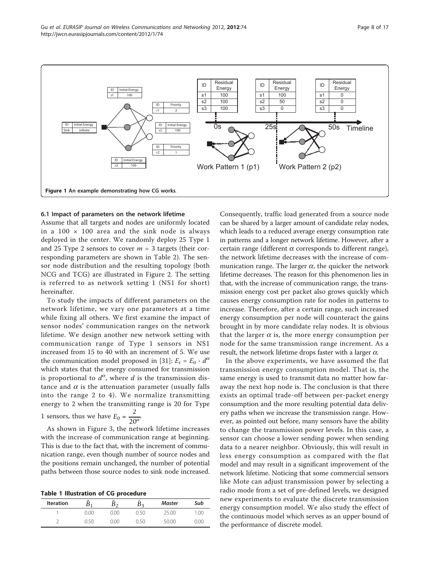<span id="page-7-0"></span>

# 6.1 Impact of parameters on the network lifetime

Assume that all targets and nodes are uniformly located in a  $100 \times 100$  area and the sink node is always deployed in the center. We randomly deploy 25 Type 1 and 25 Type 2 sensors to cover  $m = 3$  targets (their corresponding parameters are shown in Table [2\)](#page-8-0). The sensor node distribution and the resulting topology (both NCG and TCG) are illustrated in Figure [2.](#page-8-0) The setting is referred to as network setting 1 (NS1 for short) hereinafter.

To study the impacts of different parameters on the network lifetime, we vary one parameters at a time while fixing all others. We first examine the impact of sensor nodes' communication ranges on the network lifetime. We design another new network setting with communication range of Type 1 sensors in NS1 increased from 15 to 40 with an increment of 5. We use the communication model proposed in [[31\]](#page-16-0):  $E_t = E_0 \cdot d^{\alpha}$ which states that the energy consumed for transmission is proportional to  $d^{\alpha}$ , where d is the transmission distance and  $\alpha$  is the attenuation parameter (usually falls into the range 2 to 4). We normalize transmitting energy to 2 when the transmitting range is 20 for Type

1 sensors, thus we have  $E_0 = \frac{2}{20^{\alpha}}$ .

As shown in Figure [3](#page-9-0), the network lifetime increases with the increase of communication range at beginning. This is due to the fact that, with the increment of communication range, even though number of source nodes and the positions remain unchanged, the number of potential paths between those source nodes to sink node increased.

Table 1 Illustration of CG procedure

| <b>Iteration</b> | $\tilde{\phantom{a}}$ | $\tilde{\phantom{a}}$ | $\tilde{\phantom{a}}$<br>Dэ | Master | Sub |
|------------------|-----------------------|-----------------------|-----------------------------|--------|-----|
|                  | 0.00                  | 0.00                  | ገ.50                        | .00    | .00 |
|                  | 750                   | .00                   | 50                          | 50.00  | 0.0 |

Consequently, traffic load generated from a source node can be shared by a larger amount of candidate relay nodes, which leads to a reduced average energy consumption rate in patterns and a longer network lifetime. However, after a certain range (different  $\alpha$  corresponds to different range), the network lifetime decreases with the increase of communication range. The larger  $\alpha$ , the quicker the network lifetime decreases. The reason for this phenomenon lies in that, with the increase of communication range, the transmission energy cost per packet also grows quickly which causes energy consumption rate for nodes in patterns to increase. Therefore, after a certain range, such increased energy consumption per node will counteract the gains brought in by more candidate relay nodes. It is obvious that the larger  $\alpha$  is, the more energy consumption per node for the same transmission range increment. As a result, the network lifetime drops faster with a larger  $\alpha$ .

In the above experiments, we have assumed the flat transmission energy consumption model. That is, the same energy is used to transmit data no matter how faraway the next hop node is. The conclusion is that there exists an optimal trade-off between per-packet energy consumption and the more resulting potential data delivery paths when we increase the transmission range. However, as pointed out before, many sensors have the ability to change the transmission power levels. In this case, a sensor can choose a lower sending power when sending data to a nearer neighbor. Obviously, this will result in less energy consumption as compared with the flat model and may result in a significant improvement of the network lifetime. Noticing that some commercial sensors like Mote can adjust transmission power by selecting a radio mode from a set of pre-defined levels, we designed new experiments to evaluate the discrete transmission energy consumption model. We also study the effect of the continuous model which serves as an upper bound of the performance of discrete model.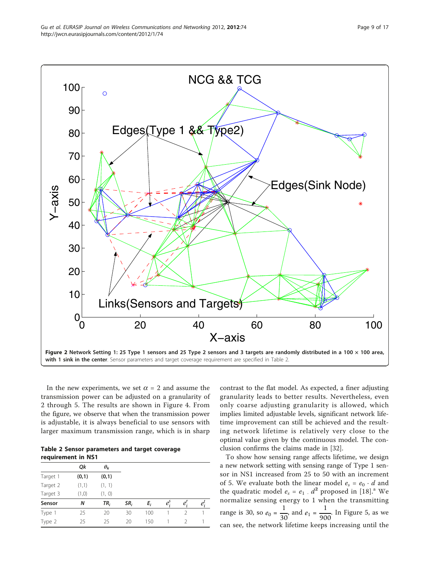<span id="page-8-0"></span>

In the new experiments, we set  $\alpha = 2$  and assume the transmission power can be adjusted on a granularity of 2 through 5. The results are shown in Figure [4.](#page-9-0) From the figure, we observe that when the transmission power is adjustable, it is always beneficial to use sensors with larger maximum transmission range, which is in sharp

| Table 2 Sensor parameters and target coverage |  |  |
|-----------------------------------------------|--|--|
| requirement in NS1                            |  |  |

| Qk    | $\theta_k$ |        |     |         |               |  |
|-------|------------|--------|-----|---------|---------------|--|
| (0,1) | (0,1)      |        |     |         |               |  |
| (1,1) | (1, 1)     |        |     |         |               |  |
| (1,0) | (1, 0)     |        |     |         |               |  |
| Ν     | $TR_i$     | $SR_i$ | E,  | $e_i^s$ | $e^r$         |  |
| 25    | 20         | 30     | 100 |         | 2             |  |
| 25    | 25         | 20     | 150 |         | $\mathcal{D}$ |  |
|       |            |        |     |         |               |  |

contrast to the flat model. As expected, a finer adjusting granularity leads to better results. Nevertheless, even only coarse adjusting granularity is allowed, which implies limited adjustable levels, significant network lifetime improvement can still be achieved and the resulting network lifetime is relatively very close to the optimal value given by the continuous model. The conclusion confirms the claims made in [[32](#page-16-0)].

To show how sensing range affects lifetime, we design a new network setting with sensing range of Type 1 sensor in NS1 increased from 25 to 50 with an increment of 5. We evaluate both the linear model  $e_s = e_0 \cdot d$  and the quadratic model  $e_s = e_1$ .  $d^2$  proposed in [\[18\]](#page-16-0).<sup>a</sup> We normalize sensing energy to 1 when the transmitting range is 30, so  $e_0 = \frac{1}{30}$ , and  $e_1 = \frac{1}{900}$ . In Figure [5](#page-10-0), as we can see, the network lifetime keeps increasing until the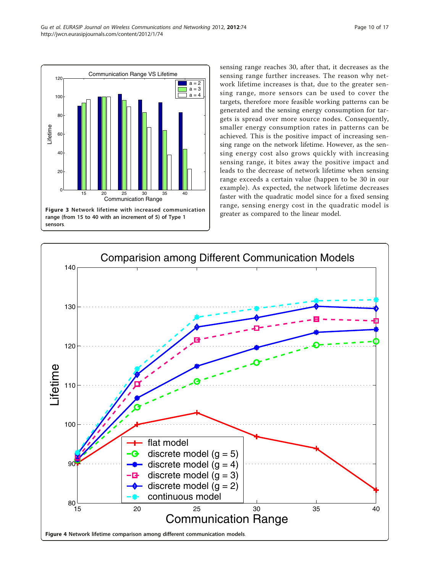<span id="page-9-0"></span>

sensing range reaches 30, after that, it decreases as the sensing range further increases. The reason why network lifetime increases is that, due to the greater sensing range, more sensors can be used to cover the targets, therefore more feasible working patterns can be generated and the sensing energy consumption for targets is spread over more source nodes. Consequently, smaller energy consumption rates in patterns can be achieved. This is the positive impact of increasing sensing range on the network lifetime. However, as the sensing energy cost also grows quickly with increasing sensing range, it bites away the positive impact and leads to the decrease of network lifetime when sensing range exceeds a certain value (happen to be 30 in our example). As expected, the network lifetime decreases faster with the quadratic model since for a fixed sensing range, sensing energy cost in the quadratic model is greater as compared to the linear model.

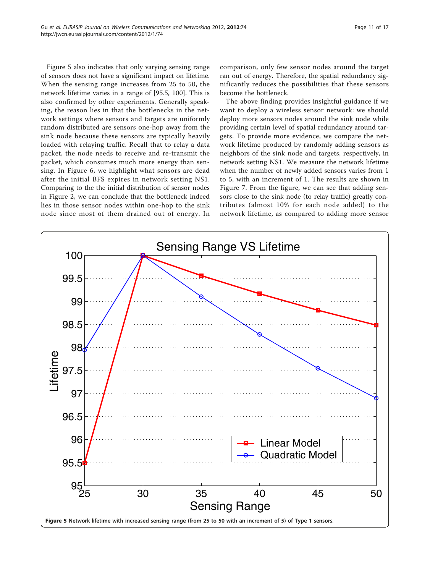<span id="page-10-0"></span>Figure 5 also indicates that only varying sensing range of sensors does not have a significant impact on lifetime. When the sensing range increases from 25 to 50, the network lifetime varies in a range of [95.5, 100]. This is also confirmed by other experiments. Generally speaking, the reason lies in that the bottlenecks in the network settings where sensors and targets are uniformly random distributed are sensors one-hop away from the sink node because these sensors are typically heavily loaded with relaying traffic. Recall that to relay a data packet, the node needs to receive and re-transmit the packet, which consumes much more energy than sensing. In Figure [6,](#page-11-0) we highlight what sensors are dead after the initial BFS expires in network setting NS1. Comparing to the the initial distribution of sensor nodes in Figure [2](#page-8-0), we can conclude that the bottleneck indeed lies in those sensor nodes within one-hop to the sink node since most of them drained out of energy. In comparison, only few sensor nodes around the target ran out of energy. Therefore, the spatial redundancy significantly reduces the possibilities that these sensors become the bottleneck.

The above finding provides insightful guidance if we want to deploy a wireless sensor network: we should deploy more sensors nodes around the sink node while providing certain level of spatial redundancy around targets. To provide more evidence, we compare the network lifetime produced by randomly adding sensors as neighbors of the sink node and targets, respectively, in network setting NS1. We measure the network lifetime when the number of newly added sensors varies from 1 to 5, with an increment of 1. The results are shown in Figure [7](#page-12-0). From the figure, we can see that adding sensors close to the sink node (to relay traffic) greatly contributes (almost 10% for each node added) to the network lifetime, as compared to adding more sensor

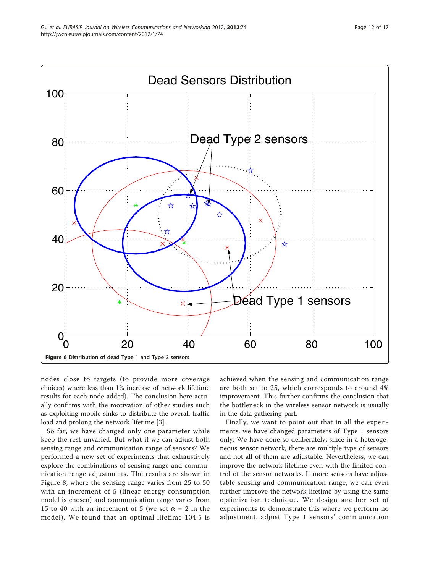<span id="page-11-0"></span>

nodes close to targets (to provide more coverage choices) where less than 1% increase of network lifetime results for each node added). The conclusion here actually confirms with the motivation of other studies such as exploiting mobile sinks to distribute the overall traffic load and prolong the network lifetime [[3\]](#page-16-0).

So far, we have changed only one parameter while keep the rest unvaried. But what if we can adjust both sensing range and communication range of sensors? We performed a new set of experiments that exhaustively explore the combinations of sensing range and communication range adjustments. The results are shown in Figure [8,](#page-12-0) where the sensing range varies from 25 to 50 with an increment of 5 (linear energy consumption model is chosen) and communication range varies from 15 to 40 with an increment of 5 (we set  $\alpha = 2$  in the model). We found that an optimal lifetime 104.5 is

achieved when the sensing and communication range are both set to 25, which corresponds to around 4% improvement. This further confirms the conclusion that the bottleneck in the wireless sensor network is usually in the data gathering part.

Finally, we want to point out that in all the experiments, we have changed parameters of Type 1 sensors only. We have done so deliberately, since in a heterogeneous sensor network, there are multiple type of sensors and not all of them are adjustable. Nevertheless, we can improve the network lifetime even with the limited control of the sensor networks. If more sensors have adjustable sensing and communication range, we can even further improve the network lifetime by using the same optimization technique. We design another set of experiments to demonstrate this where we perform no adjustment, adjust Type 1 sensors' communication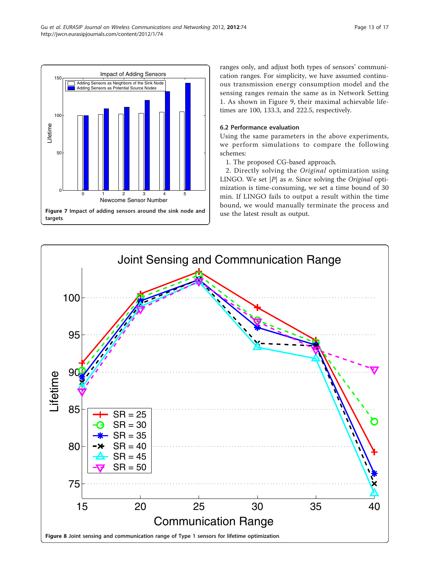<span id="page-12-0"></span>

ranges only, and adjust both types of sensors' communication ranges. For simplicity, we have assumed continuous transmission energy consumption model and the sensing ranges remain the same as in Network Setting 1. As shown in Figure [9](#page-13-0), their maximal achievable lifetimes are 100, 133.3, and 222.5, respectively.

# 6.2 Performance evaluation

Using the same parameters in the above experiments, we perform simulations to compare the following schemes:

1. The proposed CG-based approach.

2. Directly solving the Original optimization using LINGO. We set  $|P|$  as *n*. Since solving the *Original* optimization is time-consuming, we set a time bound of 30 min. If LINGO fails to output a result within the time bound, we would manually terminate the process and use the latest result as output.

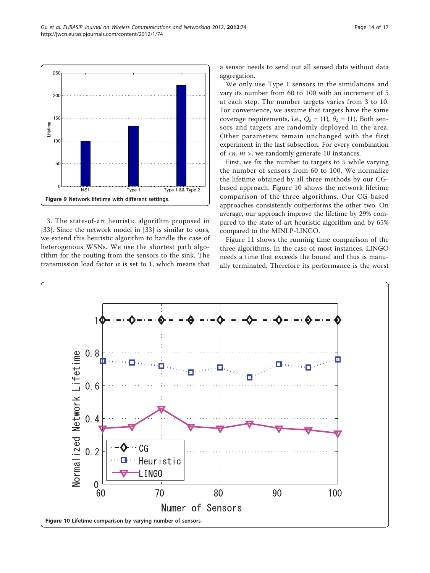<span id="page-13-0"></span>

3. The state-of-art heuristic algorithm proposed in [[33\]](#page-16-0). Since the network model in [[33\]](#page-16-0) is similar to ours, we extend this heuristic algorithm to handle the case of heterogenous WSNs. We use the shortest path algorithm for the routing from the sensors to the sink. The transmission load factor  $\alpha$  is set to 1, which means that a sensor needs to send out all sensed data without data aggregation.

We only use Type 1 sensors in the simulations and vary its number from 60 to 100 with an increment of 5 at each step. The number targets varies from 3 to 10. For convenience, we assume that targets have the same coverage requirements, i.e.,  $Q_k = (1)$ ,  $\theta_k = (1)$ . Both sensors and targets are randomly deployed in the area. Other parameters remain unchanged with the first experiment in the last subsection. For every combination of  $\langle n, m \rangle$ , we randomly generate 10 instances.

First, we fix the number to targets to 5 while varying the number of sensors from 60 to 100. We normalize the lifetime obtained by all three methods by our CGbased approach. Figure 10 shows the network lifetime comparison of the three algorithms. Our CG-based approaches consistently outperforms the other two. On average, our approach improve the lifetime by 29% compared to the state-of-art heuristic algorithm and by 65% compared to the MINLP-LINGO.

Figure [11](#page-14-0) shows the running time comparison of the three algorithms. In the case of most instances, LINGO needs a time that exceeds the bound and thus is manually terminated. Therefore its performance is the worst

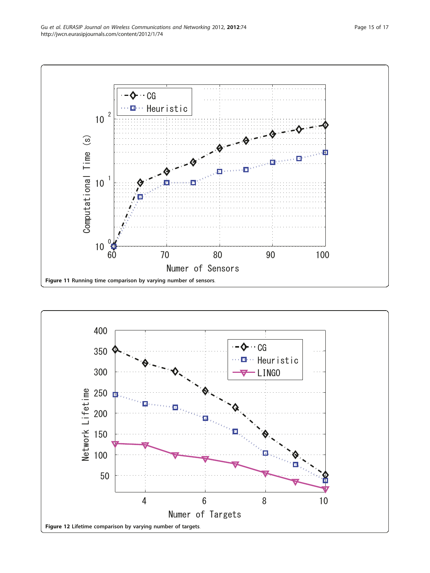<span id="page-14-0"></span>

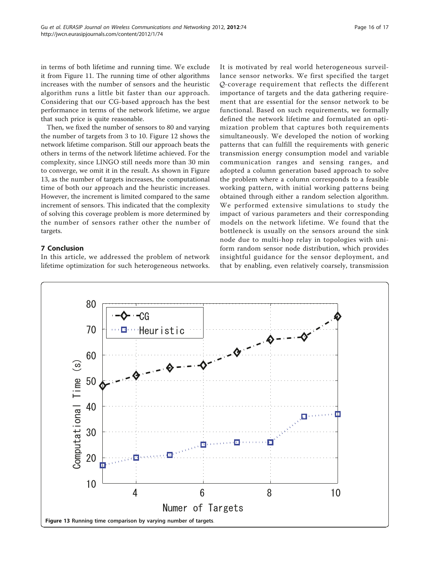in terms of both lifetime and running time. We exclude it from Figure [11.](#page-14-0) The running time of other algorithms increases with the number of sensors and the heuristic algorithm runs a little bit faster than our approach. Considering that our CG-based approach has the best performance in terms of the network lifetime, we argue that such price is quite reasonable.

Then, we fixed the number of sensors to 80 and varying the number of targets from 3 to 10. Figure [12](#page-14-0) shows the network lifetime comparison. Still our approach beats the others in terms of the network lifetime achieved. For the complexity, since LINGO still needs more than 30 min to converge, we omit it in the result. As shown in Figure 13, as the number of targets increases, the computational time of both our approach and the heuristic increases. However, the increment is limited compared to the same increment of sensors. This indicated that the complexity of solving this coverage problem is more determined by the number of sensors rather other the number of targets.

## 7 Conclusion

In this article, we addressed the problem of network lifetime optimization for such heterogeneous networks. It is motivated by real world heterogeneous surveillance sensor networks. We first specified the target *Q*-coverage requirement that reflects the different importance of targets and the data gathering requirement that are essential for the sensor network to be functional. Based on such requirements, we formally defined the network lifetime and formulated an optimization problem that captures both requirements simultaneously. We developed the notion of working patterns that can fulfill the requirements with generic transmission energy consumption model and variable communication ranges and sensing ranges, and adopted a column generation based approach to solve the problem where a column corresponds to a feasible working pattern, with initial working patterns being obtained through either a random selection algorithm. We performed extensive simulations to study the impact of various parameters and their corresponding models on the network lifetime. We found that the bottleneck is usually on the sensors around the sink node due to multi-hop relay in topologies with uniform random sensor node distribution, which provides insightful guidance for the sensor deployment, and that by enabling, even relatively coarsely, transmission